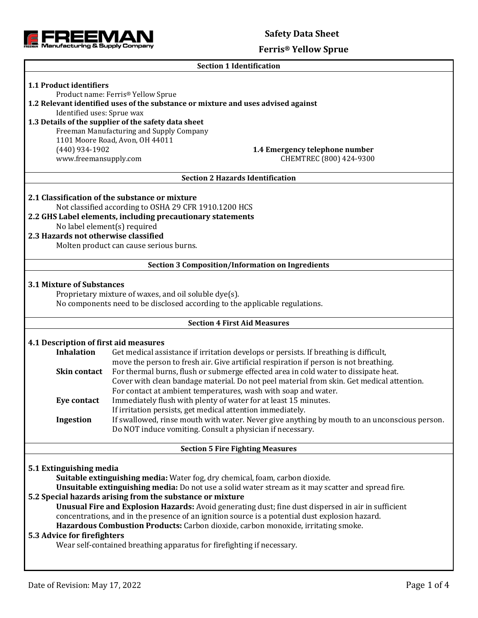

# **Ferris® Yellow Sprue**

|                                                                                                                                                                          | <b>Section 1 Identification</b>                                                                                               |                                                                                              |  |  |  |                                                                                                     |  |  |
|--------------------------------------------------------------------------------------------------------------------------------------------------------------------------|-------------------------------------------------------------------------------------------------------------------------------|----------------------------------------------------------------------------------------------|--|--|--|-----------------------------------------------------------------------------------------------------|--|--|
| 1.1 Product identifiers                                                                                                                                                  | Product name: Ferris® Yellow Sprue                                                                                            |                                                                                              |  |  |  |                                                                                                     |  |  |
|                                                                                                                                                                          | 1.2 Relevant identified uses of the substance or mixture and uses advised against                                             |                                                                                              |  |  |  |                                                                                                     |  |  |
| Identified uses: Sprue wax                                                                                                                                               |                                                                                                                               |                                                                                              |  |  |  |                                                                                                     |  |  |
|                                                                                                                                                                          | 1.3 Details of the supplier of the safety data sheet                                                                          |                                                                                              |  |  |  |                                                                                                     |  |  |
|                                                                                                                                                                          | Freeman Manufacturing and Supply Company                                                                                      |                                                                                              |  |  |  |                                                                                                     |  |  |
|                                                                                                                                                                          | 1101 Moore Road, Avon, OH 44011                                                                                               |                                                                                              |  |  |  |                                                                                                     |  |  |
| $(440)$ 934-1902                                                                                                                                                         |                                                                                                                               | 1.4 Emergency telephone number                                                               |  |  |  |                                                                                                     |  |  |
| www.freemansupply.com                                                                                                                                                    |                                                                                                                               | CHEMTREC (800) 424-9300                                                                      |  |  |  |                                                                                                     |  |  |
| <b>Section 2 Hazards Identification</b>                                                                                                                                  |                                                                                                                               |                                                                                              |  |  |  |                                                                                                     |  |  |
|                                                                                                                                                                          | 2.1 Classification of the substance or mixture                                                                                |                                                                                              |  |  |  |                                                                                                     |  |  |
|                                                                                                                                                                          | Not classified according to OSHA 29 CFR 1910.1200 HCS                                                                         |                                                                                              |  |  |  |                                                                                                     |  |  |
|                                                                                                                                                                          | 2.2 GHS Label elements, including precautionary statements                                                                    |                                                                                              |  |  |  |                                                                                                     |  |  |
| 2.3 Hazards not otherwise classified                                                                                                                                     | No label element(s) required                                                                                                  |                                                                                              |  |  |  |                                                                                                     |  |  |
|                                                                                                                                                                          |                                                                                                                               |                                                                                              |  |  |  |                                                                                                     |  |  |
|                                                                                                                                                                          | Molten product can cause serious burns.                                                                                       |                                                                                              |  |  |  |                                                                                                     |  |  |
|                                                                                                                                                                          | <b>Section 3 Composition/Information on Ingredients</b>                                                                       |                                                                                              |  |  |  |                                                                                                     |  |  |
| <b>3.1 Mixture of Substances</b><br>Proprietary mixture of waxes, and oil soluble dye(s).<br>No components need to be disclosed according to the applicable regulations. |                                                                                                                               |                                                                                              |  |  |  |                                                                                                     |  |  |
|                                                                                                                                                                          | <b>Section 4 First Aid Measures</b>                                                                                           |                                                                                              |  |  |  |                                                                                                     |  |  |
|                                                                                                                                                                          |                                                                                                                               |                                                                                              |  |  |  |                                                                                                     |  |  |
| 4.1 Description of first aid measures                                                                                                                                    |                                                                                                                               |                                                                                              |  |  |  |                                                                                                     |  |  |
| <b>Inhalation</b>                                                                                                                                                        |                                                                                                                               | Get medical assistance if irritation develops or persists. If breathing is difficult,        |  |  |  |                                                                                                     |  |  |
|                                                                                                                                                                          |                                                                                                                               | move the person to fresh air. Give artificial respiration if person is not breathing.        |  |  |  |                                                                                                     |  |  |
| Skin contact                                                                                                                                                             |                                                                                                                               | For thermal burns, flush or submerge effected area in cold water to dissipate heat.          |  |  |  |                                                                                                     |  |  |
|                                                                                                                                                                          |                                                                                                                               | Cover with clean bandage material. Do not peel material from skin. Get medical attention.    |  |  |  |                                                                                                     |  |  |
|                                                                                                                                                                          | For contact at ambient temperatures, wash with soap and water.                                                                |                                                                                              |  |  |  |                                                                                                     |  |  |
| Eye contact                                                                                                                                                              | Immediately flush with plenty of water for at least 15 minutes.<br>If irritation persists, get medical attention immediately. |                                                                                              |  |  |  |                                                                                                     |  |  |
| Ingestion                                                                                                                                                                |                                                                                                                               | If swallowed, rinse mouth with water. Never give anything by mouth to an unconscious person. |  |  |  |                                                                                                     |  |  |
|                                                                                                                                                                          | Do NOT induce vomiting. Consult a physician if necessary.                                                                     |                                                                                              |  |  |  |                                                                                                     |  |  |
| <b>Section 5 Fire Fighting Measures</b>                                                                                                                                  |                                                                                                                               |                                                                                              |  |  |  |                                                                                                     |  |  |
|                                                                                                                                                                          |                                                                                                                               |                                                                                              |  |  |  |                                                                                                     |  |  |
| 5.1 Extinguishing media                                                                                                                                                  |                                                                                                                               |                                                                                              |  |  |  |                                                                                                     |  |  |
| Suitable extinguishing media: Water fog, dry chemical, foam, carbon dioxide.                                                                                             |                                                                                                                               |                                                                                              |  |  |  |                                                                                                     |  |  |
| Unsuitable extinguishing media: Do not use a solid water stream as it may scatter and spread fire.<br>5.2 Special hazards arising from the substance or mixture          |                                                                                                                               |                                                                                              |  |  |  |                                                                                                     |  |  |
|                                                                                                                                                                          |                                                                                                                               |                                                                                              |  |  |  | Unusual Fire and Explosion Hazards: Avoid generating dust; fine dust dispersed in air in sufficient |  |  |
|                                                                                                                                                                          | concentrations, and in the presence of an ignition source is a potential dust explosion hazard.                               |                                                                                              |  |  |  |                                                                                                     |  |  |
| Hazardous Combustion Products: Carbon dioxide, carbon monoxide, irritating smoke.                                                                                        |                                                                                                                               |                                                                                              |  |  |  |                                                                                                     |  |  |
|                                                                                                                                                                          | 5.3 Advice for firefighters                                                                                                   |                                                                                              |  |  |  |                                                                                                     |  |  |
|                                                                                                                                                                          | Wear self-contained breathing apparatus for firefighting if necessary.                                                        |                                                                                              |  |  |  |                                                                                                     |  |  |
|                                                                                                                                                                          |                                                                                                                               |                                                                                              |  |  |  |                                                                                                     |  |  |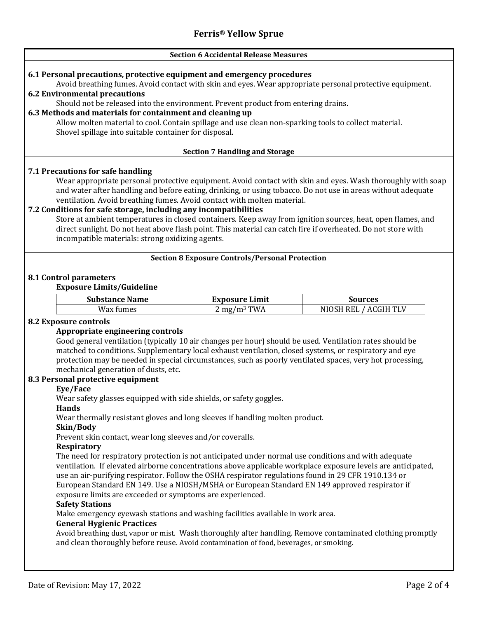#### **Section 6 Accidental Release Measures**

## **6.1 Personal precautions, protective equipment and emergency procedures**

Avoid breathing fumes. Avoid contact with skin and eyes. Wear appropriate personal protective equipment.

## **6.2 Environmental precautions**

Should not be released into the environment. Prevent product from entering drains.

## **6.3 Methods and materials for containment and cleaning up**

Allow molten material to cool. Contain spillage and use clean non-sparking tools to collect material. Shovel spillage into suitable container for disposal.

## **Section 7 Handling and Storage**

## **7.1 Precautions for safe handling**

Wear appropriate personal protective equipment. Avoid contact with skin and eyes. Wash thoroughly with soap and water after handling and before eating, drinking, or using tobacco. Do not use in areas without adequate ventilation. Avoid breathing fumes. Avoid contact with molten material.

## **7.2 Conditions for safe storage, including any incompatibilities**

Store at ambient temperatures in closed containers. Keep away from ignition sources, heat, open flames, and direct sunlight. Do not heat above flash point. This material can catch fire if overheated. Do not store with incompatible materials: strong oxidizing agents.

#### **Section 8 Exposure Controls/Personal Protection**

## **8.1 Control parameters**

## **Exposure Limits/Guideline**

| <b>Substance Name</b> | <b>Exposure Limit</b> | Sources   |
|-----------------------|-----------------------|-----------|
| Wax                   | TWA                   | \CGIH TLV |
| ımes                  | mg/m <sup>3</sup>     | NIG       |

## **8.2 Exposure controls**

## **Appropriate engineering controls**

Good general ventilation (typically 10 air changes per hour) should be used. Ventilation rates should be matched to conditions. Supplementary local exhaust ventilation, closed systems, or respiratory and eye protection may be needed in special circumstances, such as poorly ventilated spaces, very hot processing, mechanical generation of dusts, etc.

#### **8.3 Personal protective equipment**

## **Eye/Face**

Wear safety glasses equipped with side shields, or safety goggles.

## **Hands**

Wear thermally resistant gloves and long sleeves if handling molten product.

#### **Skin/Body**

Prevent skin contact, wear long sleeves and/or coveralls.

#### **Respiratory**

The need for respiratory protection is not anticipated under normal use conditions and with adequate ventilation. If elevated airborne concentrations above applicable workplace exposure levels are anticipated, use an air-purifying respirator. Follow the OSHA respirator regulations found in 29 CFR 1910.134 or European Standard EN 149. Use a NIOSH/MSHA or European Standard EN 149 approved respirator if exposure limits are exceeded or symptoms are experienced.

#### **Safety Stations**

Make emergency eyewash stations and washing facilities available in work area.

## **General Hygienic Practices**

Avoid breathing dust, vapor or mist. Wash thoroughly after handling. Remove contaminated clothing promptly and clean thoroughly before reuse. Avoid contamination of food, beverages, or smoking.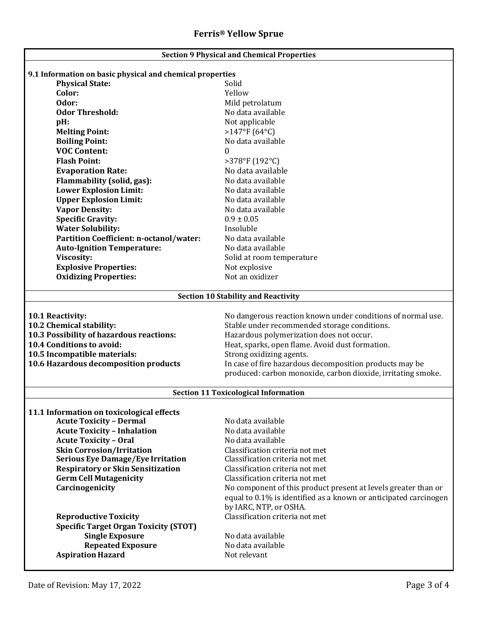| <b>Section 9 Physical and Chemical Properties</b>            |                                                                  |  |  |  |  |
|--------------------------------------------------------------|------------------------------------------------------------------|--|--|--|--|
|                                                              |                                                                  |  |  |  |  |
| 9.1 Information on basic physical and chemical properties    |                                                                  |  |  |  |  |
| <b>Physical State:</b>                                       | Solid                                                            |  |  |  |  |
| Color:                                                       | Yellow                                                           |  |  |  |  |
| Odor:                                                        | Mild petrolatum                                                  |  |  |  |  |
| <b>Odor Threshold:</b>                                       | No data available                                                |  |  |  |  |
| pH:                                                          | Not applicable                                                   |  |  |  |  |
| <b>Melting Point:</b>                                        | $>147^{\circ}F(64^{\circ}C)$                                     |  |  |  |  |
| <b>Boiling Point:</b><br><b>VOC Content:</b>                 | No data available                                                |  |  |  |  |
| <b>Flash Point:</b>                                          | 0                                                                |  |  |  |  |
|                                                              | >378°F (192°C)<br>No data available                              |  |  |  |  |
| <b>Evaporation Rate:</b>                                     |                                                                  |  |  |  |  |
| Flammability (solid, gas):                                   | No data available                                                |  |  |  |  |
| <b>Lower Explosion Limit:</b>                                | No data available                                                |  |  |  |  |
| <b>Upper Explosion Limit:</b>                                | No data available                                                |  |  |  |  |
| <b>Vapor Density:</b>                                        | No data available                                                |  |  |  |  |
| <b>Specific Gravity:</b>                                     | $0.9 \pm 0.05$                                                   |  |  |  |  |
| <b>Water Solubility:</b>                                     | Insoluble                                                        |  |  |  |  |
| Partition Coefficient: n-octanol/water:                      | No data available                                                |  |  |  |  |
| <b>Auto-Ignition Temperature:</b>                            | No data available                                                |  |  |  |  |
| Viscosity:                                                   | Solid at room temperature                                        |  |  |  |  |
| <b>Explosive Properties:</b><br><b>Oxidizing Properties:</b> | Not explosive<br>Not an oxidizer                                 |  |  |  |  |
|                                                              |                                                                  |  |  |  |  |
|                                                              | <b>Section 10 Stability and Reactivity</b>                       |  |  |  |  |
|                                                              |                                                                  |  |  |  |  |
| 10.1 Reactivity:                                             | No dangerous reaction known under conditions of normal use.      |  |  |  |  |
| 10.2 Chemical stability:                                     | Stable under recommended storage conditions.                     |  |  |  |  |
| 10.3 Possibility of hazardous reactions:                     | Hazardous polymerization does not occur.                         |  |  |  |  |
| 10.4 Conditions to avoid:                                    | Heat, sparks, open flame. Avoid dust formation.                  |  |  |  |  |
| 10.5 Incompatible materials:                                 | Strong oxidizing agents.                                         |  |  |  |  |
| 10.6 Hazardous decomposition products                        | In case of fire hazardous decomposition products may be          |  |  |  |  |
|                                                              | produced: carbon monoxide, carbon dioxide, irritating smoke.     |  |  |  |  |
|                                                              |                                                                  |  |  |  |  |
| <b>Section 11 Toxicological Information</b>                  |                                                                  |  |  |  |  |
| 11.1 Information on toxicological effects                    |                                                                  |  |  |  |  |
| <b>Acute Toxicity - Dermal</b>                               | No data available                                                |  |  |  |  |
| <b>Acute Toxicity - Inhalation</b>                           | No data available                                                |  |  |  |  |
| <b>Acute Toxicity - Oral</b>                                 | No data available                                                |  |  |  |  |
| <b>Skin Corrosion/Irritation</b>                             | Classification criteria not met                                  |  |  |  |  |
| <b>Serious Eye Damage/Eye Irritation</b>                     | Classification criteria not met                                  |  |  |  |  |
| <b>Respiratory or Skin Sensitization</b>                     | Classification criteria not met                                  |  |  |  |  |
| <b>Germ Cell Mutagenicity</b>                                | Classification criteria not met                                  |  |  |  |  |
| Carcinogenicity                                              | No component of this product present at levels greater than or   |  |  |  |  |
|                                                              | equal to 0.1% is identified as a known or anticipated carcinogen |  |  |  |  |
|                                                              | by IARC, NTP, or OSHA.                                           |  |  |  |  |
| <b>Reproductive Toxicity</b>                                 | Classification criteria not met                                  |  |  |  |  |
| <b>Specific Target Organ Toxicity (STOT)</b>                 |                                                                  |  |  |  |  |
| <b>Single Exposure</b>                                       | No data available                                                |  |  |  |  |
| <b>Repeated Exposure</b>                                     | No data available                                                |  |  |  |  |
| <b>Aspiration Hazard</b>                                     | Not relevant                                                     |  |  |  |  |
|                                                              |                                                                  |  |  |  |  |